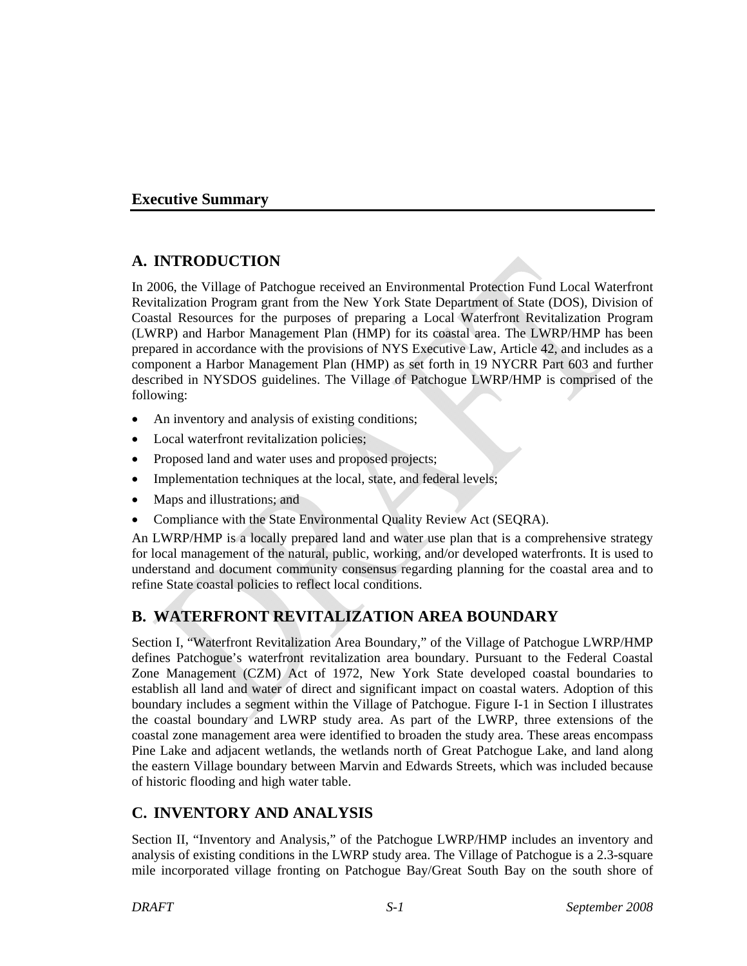## **Executive Summary**

## **A. INTRODUCTION**

In 2006, the Village of Patchogue received an Environmental Protection Fund Local Waterfront Revitalization Program grant from the New York State Department of State (DOS), Division of Coastal Resources for the purposes of preparing a Local Waterfront Revitalization Program (LWRP) and Harbor Management Plan (HMP) for its coastal area. The LWRP/HMP has been prepared in accordance with the provisions of NYS Executive Law, Article 42, and includes as a component a Harbor Management Plan (HMP) as set forth in 19 NYCRR Part 603 and further described in NYSDOS guidelines. The Village of Patchogue LWRP/HMP is comprised of the following:

- An inventory and analysis of existing conditions;
- Local waterfront revitalization policies;
- Proposed land and water uses and proposed projects;
- Implementation techniques at the local, state, and federal levels;
- Maps and illustrations; and
- Compliance with the State Environmental Quality Review Act (SEQRA).

An LWRP/HMP is a locally prepared land and water use plan that is a comprehensive strategy for local management of the natural, public, working, and/or developed waterfronts. It is used to understand and document community consensus regarding planning for the coastal area and to refine State coastal policies to reflect local conditions.

# **B. WATERFRONT REVITALIZATION AREA BOUNDARY**

Section I, "Waterfront Revitalization Area Boundary," of the Village of Patchogue LWRP/HMP defines Patchogue's waterfront revitalization area boundary. Pursuant to the Federal Coastal Zone Management (CZM) Act of 1972, New York State developed coastal boundaries to establish all land and water of direct and significant impact on coastal waters. Adoption of this boundary includes a segment within the Village of Patchogue. Figure I-1 in Section I illustrates the coastal boundary and LWRP study area. As part of the LWRP, three extensions of the coastal zone management area were identified to broaden the study area. These areas encompass Pine Lake and adjacent wetlands, the wetlands north of Great Patchogue Lake, and land along the eastern Village boundary between Marvin and Edwards Streets, which was included because of historic flooding and high water table.

# **C. INVENTORY AND ANALYSIS**

Section II, "Inventory and Analysis," of the Patchogue LWRP/HMP includes an inventory and analysis of existing conditions in the LWRP study area. The Village of Patchogue is a 2.3-square mile incorporated village fronting on Patchogue Bay/Great South Bay on the south shore of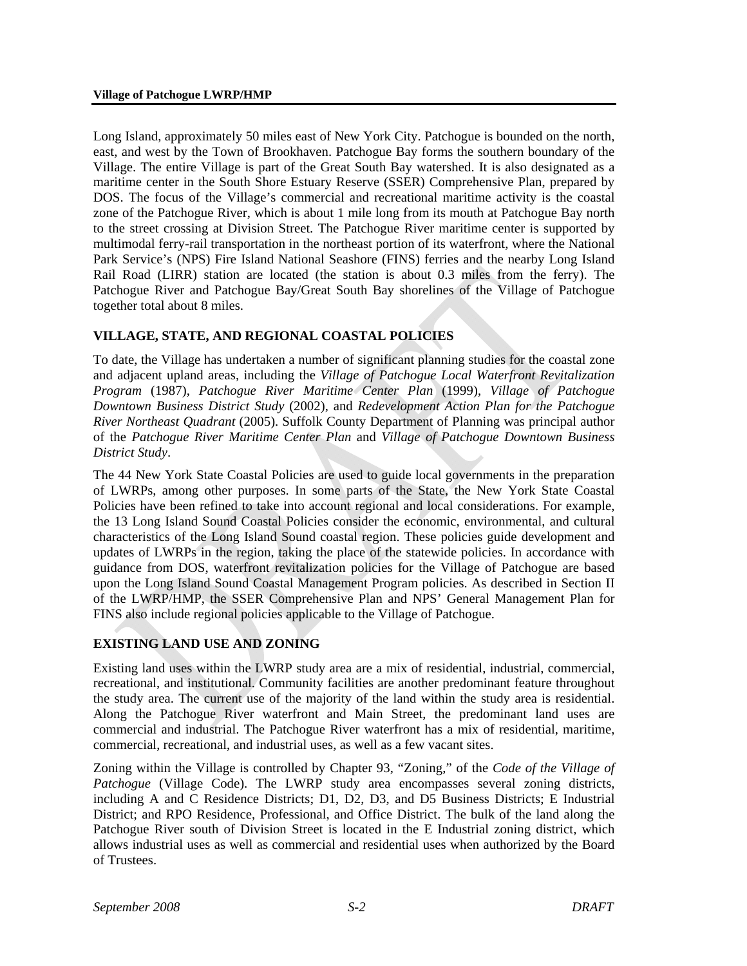Long Island, approximately 50 miles east of New York City. Patchogue is bounded on the north, east, and west by the Town of Brookhaven. Patchogue Bay forms the southern boundary of the Village. The entire Village is part of the Great South Bay watershed. It is also designated as a maritime center in the South Shore Estuary Reserve (SSER) Comprehensive Plan, prepared by DOS. The focus of the Village's commercial and recreational maritime activity is the coastal zone of the Patchogue River, which is about 1 mile long from its mouth at Patchogue Bay north to the street crossing at Division Street. The Patchogue River maritime center is supported by multimodal ferry-rail transportation in the northeast portion of its waterfront, where the National Park Service's (NPS) Fire Island National Seashore (FINS) ferries and the nearby Long Island Rail Road (LIRR) station are located (the station is about 0.3 miles from the ferry). The Patchogue River and Patchogue Bay/Great South Bay shorelines of the Village of Patchogue together total about 8 miles.

## **VILLAGE, STATE, AND REGIONAL COASTAL POLICIES**

To date, the Village has undertaken a number of significant planning studies for the coastal zone and adjacent upland areas, including the *Village of Patchogue Local Waterfront Revitalization Program* (1987), *Patchogue River Maritime Center Plan* (1999), *Village of Patchogue Downtown Business District Study* (2002), and *Redevelopment Action Plan for the Patchogue River Northeast Quadrant* (2005). Suffolk County Department of Planning was principal author of the *Patchogue River Maritime Center Plan* and *Village of Patchogue Downtown Business District Study*.

The 44 New York State Coastal Policies are used to guide local governments in the preparation of LWRPs, among other purposes. In some parts of the State, the New York State Coastal Policies have been refined to take into account regional and local considerations. For example, the 13 Long Island Sound Coastal Policies consider the economic, environmental, and cultural characteristics of the Long Island Sound coastal region. These policies guide development and updates of LWRPs in the region, taking the place of the statewide policies. In accordance with guidance from DOS, waterfront revitalization policies for the Village of Patchogue are based upon the Long Island Sound Coastal Management Program policies. As described in Section II of the LWRP/HMP, the SSER Comprehensive Plan and NPS' General Management Plan for FINS also include regional policies applicable to the Village of Patchogue.

## **EXISTING LAND USE AND ZONING**

Existing land uses within the LWRP study area are a mix of residential, industrial, commercial, recreational, and institutional. Community facilities are another predominant feature throughout the study area. The current use of the majority of the land within the study area is residential. Along the Patchogue River waterfront and Main Street, the predominant land uses are commercial and industrial. The Patchogue River waterfront has a mix of residential, maritime, commercial, recreational, and industrial uses, as well as a few vacant sites.

Zoning within the Village is controlled by Chapter 93, "Zoning," of the *Code of the Village of Patchogue* (Village Code). The LWRP study area encompasses several zoning districts, including A and C Residence Districts; D1, D2, D3, and D5 Business Districts; E Industrial District; and RPO Residence, Professional, and Office District. The bulk of the land along the Patchogue River south of Division Street is located in the E Industrial zoning district, which allows industrial uses as well as commercial and residential uses when authorized by the Board of Trustees.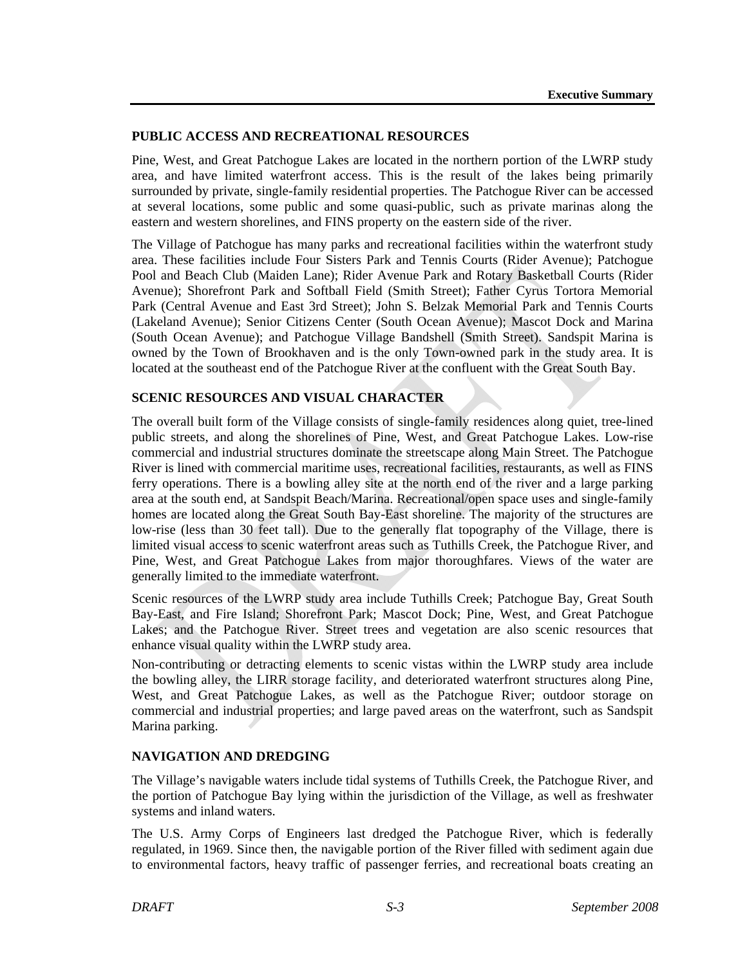#### **PUBLIC ACCESS AND RECREATIONAL RESOURCES**

Pine, West, and Great Patchogue Lakes are located in the northern portion of the LWRP study area, and have limited waterfront access. This is the result of the lakes being primarily surrounded by private, single-family residential properties. The Patchogue River can be accessed at several locations, some public and some quasi-public, such as private marinas along the eastern and western shorelines, and FINS property on the eastern side of the river.

The Village of Patchogue has many parks and recreational facilities within the waterfront study area. These facilities include Four Sisters Park and Tennis Courts (Rider Avenue); Patchogue Pool and Beach Club (Maiden Lane); Rider Avenue Park and Rotary Basketball Courts (Rider Avenue); Shorefront Park and Softball Field (Smith Street); Father Cyrus Tortora Memorial Park (Central Avenue and East 3rd Street); John S. Belzak Memorial Park and Tennis Courts (Lakeland Avenue); Senior Citizens Center (South Ocean Avenue); Mascot Dock and Marina (South Ocean Avenue); and Patchogue Village Bandshell (Smith Street). Sandspit Marina is owned by the Town of Brookhaven and is the only Town-owned park in the study area. It is located at the southeast end of the Patchogue River at the confluent with the Great South Bay.

## **SCENIC RESOURCES AND VISUAL CHARACTER**

The overall built form of the Village consists of single-family residences along quiet, tree-lined public streets, and along the shorelines of Pine, West, and Great Patchogue Lakes. Low-rise commercial and industrial structures dominate the streetscape along Main Street. The Patchogue River is lined with commercial maritime uses, recreational facilities, restaurants, as well as FINS ferry operations. There is a bowling alley site at the north end of the river and a large parking area at the south end, at Sandspit Beach/Marina. Recreational/open space uses and single-family homes are located along the Great South Bay-East shoreline. The majority of the structures are low-rise (less than 30 feet tall). Due to the generally flat topography of the Village, there is limited visual access to scenic waterfront areas such as Tuthills Creek, the Patchogue River, and Pine, West, and Great Patchogue Lakes from major thoroughfares. Views of the water are generally limited to the immediate waterfront.

Scenic resources of the LWRP study area include Tuthills Creek; Patchogue Bay, Great South Bay-East, and Fire Island; Shorefront Park; Mascot Dock; Pine, West, and Great Patchogue Lakes; and the Patchogue River. Street trees and vegetation are also scenic resources that enhance visual quality within the LWRP study area.

Non-contributing or detracting elements to scenic vistas within the LWRP study area include the bowling alley, the LIRR storage facility, and deteriorated waterfront structures along Pine, West, and Great Patchogue Lakes, as well as the Patchogue River; outdoor storage on commercial and industrial properties; and large paved areas on the waterfront, such as Sandspit Marina parking.

## **NAVIGATION AND DREDGING**

The Village's navigable waters include tidal systems of Tuthills Creek, the Patchogue River, and the portion of Patchogue Bay lying within the jurisdiction of the Village, as well as freshwater systems and inland waters.

The U.S. Army Corps of Engineers last dredged the Patchogue River, which is federally regulated, in 1969. Since then, the navigable portion of the River filled with sediment again due to environmental factors, heavy traffic of passenger ferries, and recreational boats creating an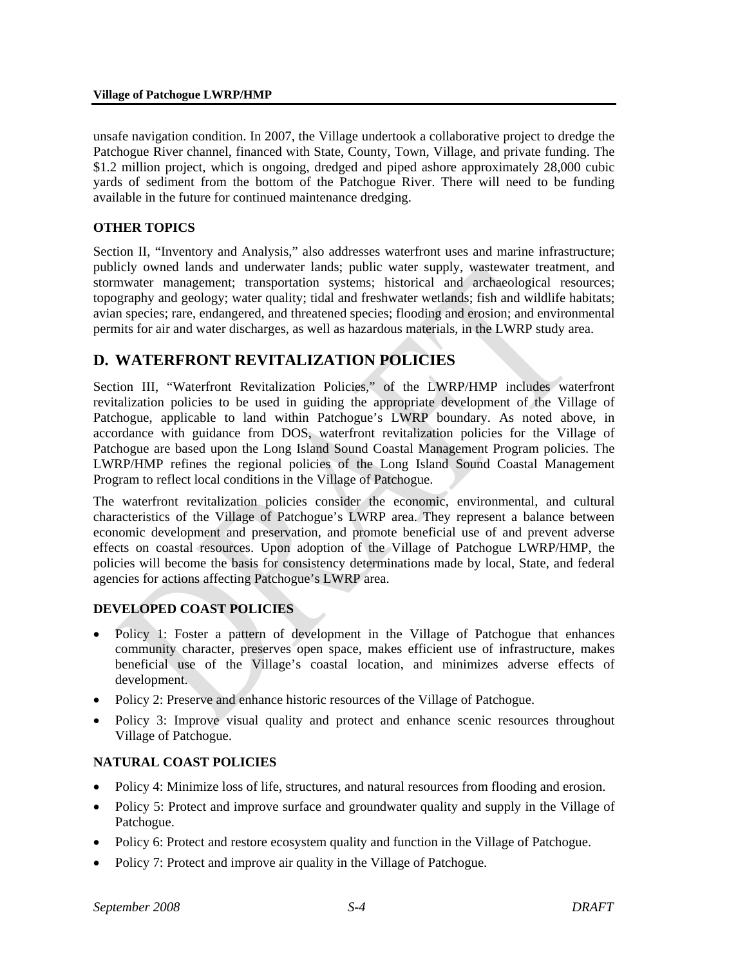unsafe navigation condition. In 2007, the Village undertook a collaborative project to dredge the Patchogue River channel, financed with State, County, Town, Village, and private funding. The \$1.2 million project, which is ongoing, dredged and piped ashore approximately 28,000 cubic yards of sediment from the bottom of the Patchogue River. There will need to be funding available in the future for continued maintenance dredging.

## **OTHER TOPICS**

Section II, "Inventory and Analysis," also addresses waterfront uses and marine infrastructure; publicly owned lands and underwater lands; public water supply, wastewater treatment, and stormwater management; transportation systems; historical and archaeological resources; topography and geology; water quality; tidal and freshwater wetlands; fish and wildlife habitats; avian species; rare, endangered, and threatened species; flooding and erosion; and environmental permits for air and water discharges, as well as hazardous materials, in the LWRP study area.

## **D. WATERFRONT REVITALIZATION POLICIES**

Section III, "Waterfront Revitalization Policies," of the LWRP/HMP includes waterfront revitalization policies to be used in guiding the appropriate development of the Village of Patchogue, applicable to land within Patchogue's LWRP boundary. As noted above, in accordance with guidance from DOS, waterfront revitalization policies for the Village of Patchogue are based upon the Long Island Sound Coastal Management Program policies. The LWRP/HMP refines the regional policies of the Long Island Sound Coastal Management Program to reflect local conditions in the Village of Patchogue.

The waterfront revitalization policies consider the economic, environmental, and cultural characteristics of the Village of Patchogue's LWRP area. They represent a balance between economic development and preservation, and promote beneficial use of and prevent adverse effects on coastal resources. Upon adoption of the Village of Patchogue LWRP/HMP, the policies will become the basis for consistency determinations made by local, State, and federal agencies for actions affecting Patchogue's LWRP area.

## **DEVELOPED COAST POLICIES**

- Policy 1: Foster a pattern of development in the Village of Patchogue that enhances community character, preserves open space, makes efficient use of infrastructure, makes beneficial use of the Village's coastal location, and minimizes adverse effects of development.
- Policy 2: Preserve and enhance historic resources of the Village of Patchogue.
- Policy 3: Improve visual quality and protect and enhance scenic resources throughout Village of Patchogue.

## **NATURAL COAST POLICIES**

- Policy 4: Minimize loss of life, structures, and natural resources from flooding and erosion.
- Policy 5: Protect and improve surface and groundwater quality and supply in the Village of Patchogue.
- Policy 6: Protect and restore ecosystem quality and function in the Village of Patchogue.
- Policy 7: Protect and improve air quality in the Village of Patchogue.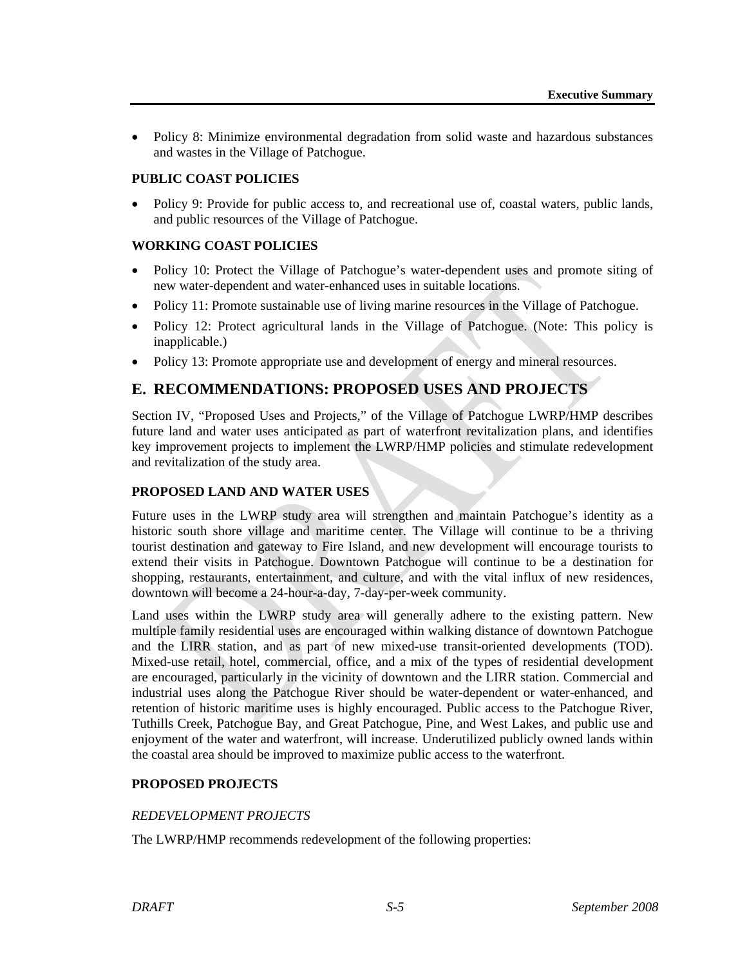• Policy 8: Minimize environmental degradation from solid waste and hazardous substances and wastes in the Village of Patchogue.

## **PUBLIC COAST POLICIES**

• Policy 9: Provide for public access to, and recreational use of, coastal waters, public lands, and public resources of the Village of Patchogue.

### **WORKING COAST POLICIES**

- Policy 10: Protect the Village of Patchogue's water-dependent uses and promote siting of new water-dependent and water-enhanced uses in suitable locations.
- Policy 11: Promote sustainable use of living marine resources in the Village of Patchogue.
- Policy 12: Protect agricultural lands in the Village of Patchogue. (Note: This policy is inapplicable.)
- Policy 13: Promote appropriate use and development of energy and mineral resources.

## **E. RECOMMENDATIONS: PROPOSED USES AND PROJECTS**

Section IV, "Proposed Uses and Projects," of the Village of Patchogue LWRP/HMP describes future land and water uses anticipated as part of waterfront revitalization plans, and identifies key improvement projects to implement the LWRP/HMP policies and stimulate redevelopment and revitalization of the study area.

#### **PROPOSED LAND AND WATER USES**

Future uses in the LWRP study area will strengthen and maintain Patchogue's identity as a historic south shore village and maritime center. The Village will continue to be a thriving tourist destination and gateway to Fire Island, and new development will encourage tourists to extend their visits in Patchogue. Downtown Patchogue will continue to be a destination for shopping, restaurants, entertainment, and culture, and with the vital influx of new residences, downtown will become a 24-hour-a-day, 7-day-per-week community.

Land uses within the LWRP study area will generally adhere to the existing pattern. New multiple family residential uses are encouraged within walking distance of downtown Patchogue and the LIRR station, and as part of new mixed-use transit-oriented developments (TOD). Mixed-use retail, hotel, commercial, office, and a mix of the types of residential development are encouraged, particularly in the vicinity of downtown and the LIRR station. Commercial and industrial uses along the Patchogue River should be water-dependent or water-enhanced, and retention of historic maritime uses is highly encouraged. Public access to the Patchogue River, Tuthills Creek, Patchogue Bay, and Great Patchogue, Pine, and West Lakes, and public use and enjoyment of the water and waterfront, will increase. Underutilized publicly owned lands within the coastal area should be improved to maximize public access to the waterfront.

#### **PROPOSED PROJECTS**

#### *REDEVELOPMENT PROJECTS*

The LWRP/HMP recommends redevelopment of the following properties: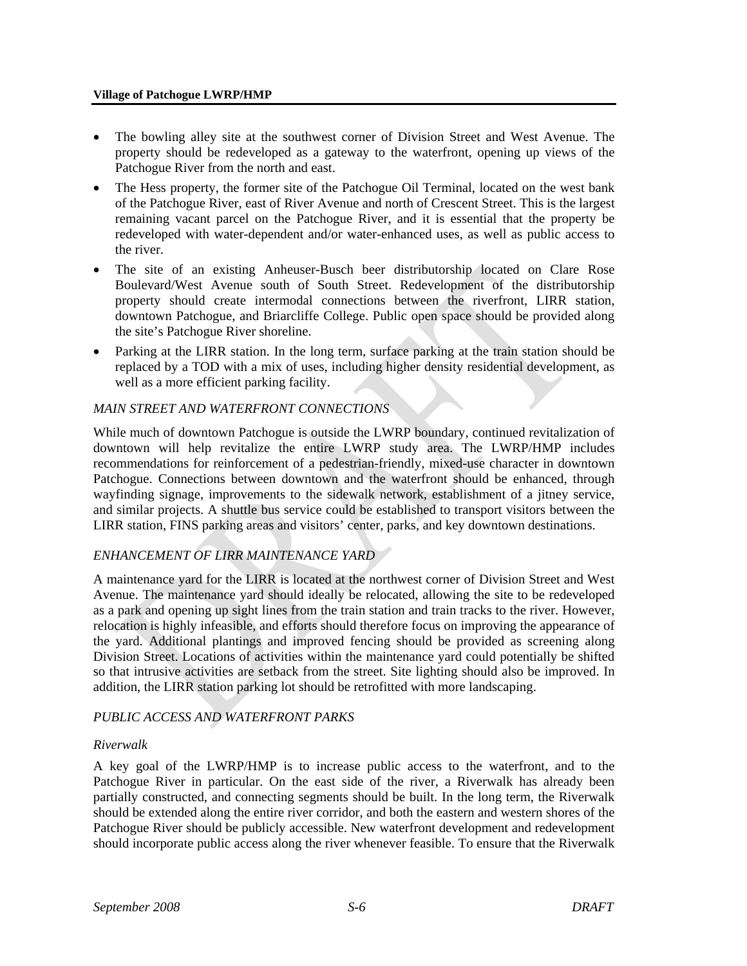#### **Village of Patchogue LWRP/HMP**

- The bowling alley site at the southwest corner of Division Street and West Avenue. The property should be redeveloped as a gateway to the waterfront, opening up views of the Patchogue River from the north and east.
- The Hess property, the former site of the Patchogue Oil Terminal, located on the west bank of the Patchogue River, east of River Avenue and north of Crescent Street. This is the largest remaining vacant parcel on the Patchogue River, and it is essential that the property be redeveloped with water-dependent and/or water-enhanced uses, as well as public access to the river.
- The site of an existing Anheuser-Busch beer distributorship located on Clare Rose Boulevard/West Avenue south of South Street. Redevelopment of the distributorship property should create intermodal connections between the riverfront, LIRR station, downtown Patchogue, and Briarcliffe College. Public open space should be provided along the site's Patchogue River shoreline.
- Parking at the LIRR station. In the long term, surface parking at the train station should be replaced by a TOD with a mix of uses, including higher density residential development, as well as a more efficient parking facility.

### *MAIN STREET AND WATERFRONT CONNECTIONS*

While much of downtown Patchogue is outside the LWRP boundary, continued revitalization of downtown will help revitalize the entire LWRP study area. The LWRP/HMP includes recommendations for reinforcement of a pedestrian-friendly, mixed-use character in downtown Patchogue. Connections between downtown and the waterfront should be enhanced, through wayfinding signage, improvements to the sidewalk network, establishment of a jitney service, and similar projects. A shuttle bus service could be established to transport visitors between the LIRR station, FINS parking areas and visitors' center, parks, and key downtown destinations.

## *ENHANCEMENT OF LIRR MAINTENANCE YARD*

A maintenance yard for the LIRR is located at the northwest corner of Division Street and West Avenue. The maintenance yard should ideally be relocated, allowing the site to be redeveloped as a park and opening up sight lines from the train station and train tracks to the river. However, relocation is highly infeasible, and efforts should therefore focus on improving the appearance of the yard. Additional plantings and improved fencing should be provided as screening along Division Street. Locations of activities within the maintenance yard could potentially be shifted so that intrusive activities are setback from the street. Site lighting should also be improved. In addition, the LIRR station parking lot should be retrofitted with more landscaping.

#### *PUBLIC ACCESS AND WATERFRONT PARKS*

#### *Riverwalk*

A key goal of the LWRP/HMP is to increase public access to the waterfront, and to the Patchogue River in particular. On the east side of the river, a Riverwalk has already been partially constructed, and connecting segments should be built. In the long term, the Riverwalk should be extended along the entire river corridor, and both the eastern and western shores of the Patchogue River should be publicly accessible. New waterfront development and redevelopment should incorporate public access along the river whenever feasible. To ensure that the Riverwalk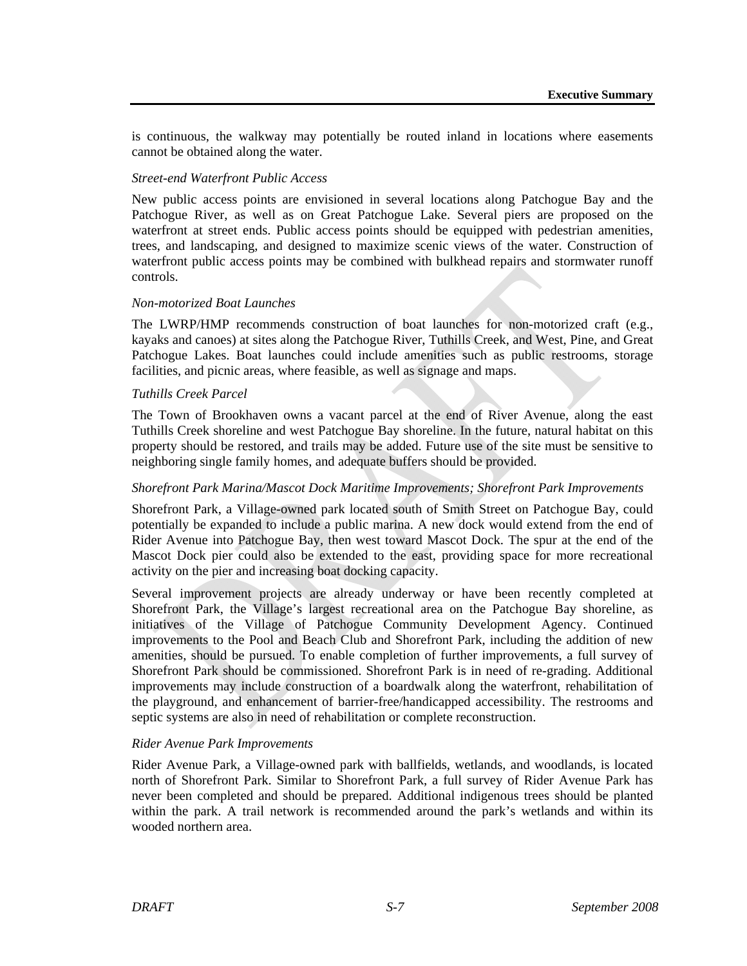is continuous, the walkway may potentially be routed inland in locations where easements cannot be obtained along the water.

### *Street-end Waterfront Public Access*

New public access points are envisioned in several locations along Patchogue Bay and the Patchogue River, as well as on Great Patchogue Lake. Several piers are proposed on the waterfront at street ends. Public access points should be equipped with pedestrian amenities, trees, and landscaping, and designed to maximize scenic views of the water. Construction of waterfront public access points may be combined with bulkhead repairs and stormwater runoff controls.

#### *Non-motorized Boat Launches*

The LWRP/HMP recommends construction of boat launches for non-motorized craft (e.g., kayaks and canoes) at sites along the Patchogue River, Tuthills Creek, and West, Pine, and Great Patchogue Lakes. Boat launches could include amenities such as public restrooms, storage facilities, and picnic areas, where feasible, as well as signage and maps.

#### *Tuthills Creek Parcel*

The Town of Brookhaven owns a vacant parcel at the end of River Avenue, along the east Tuthills Creek shoreline and west Patchogue Bay shoreline. In the future, natural habitat on this property should be restored, and trails may be added. Future use of the site must be sensitive to neighboring single family homes, and adequate buffers should be provided.

#### *Shorefront Park Marina/Mascot Dock Maritime Improvements; Shorefront Park Improvements*

Shorefront Park, a Village-owned park located south of Smith Street on Patchogue Bay, could potentially be expanded to include a public marina. A new dock would extend from the end of Rider Avenue into Patchogue Bay, then west toward Mascot Dock. The spur at the end of the Mascot Dock pier could also be extended to the east, providing space for more recreational activity on the pier and increasing boat docking capacity.

Several improvement projects are already underway or have been recently completed at Shorefront Park, the Village's largest recreational area on the Patchogue Bay shoreline, as initiatives of the Village of Patchogue Community Development Agency. Continued improvements to the Pool and Beach Club and Shorefront Park, including the addition of new amenities, should be pursued. To enable completion of further improvements, a full survey of Shorefront Park should be commissioned. Shorefront Park is in need of re-grading. Additional improvements may include construction of a boardwalk along the waterfront, rehabilitation of the playground, and enhancement of barrier-free/handicapped accessibility. The restrooms and septic systems are also in need of rehabilitation or complete reconstruction.

#### *Rider Avenue Park Improvements*

Rider Avenue Park, a Village-owned park with ballfields, wetlands, and woodlands, is located north of Shorefront Park. Similar to Shorefront Park, a full survey of Rider Avenue Park has never been completed and should be prepared. Additional indigenous trees should be planted within the park. A trail network is recommended around the park's wetlands and within its wooded northern area.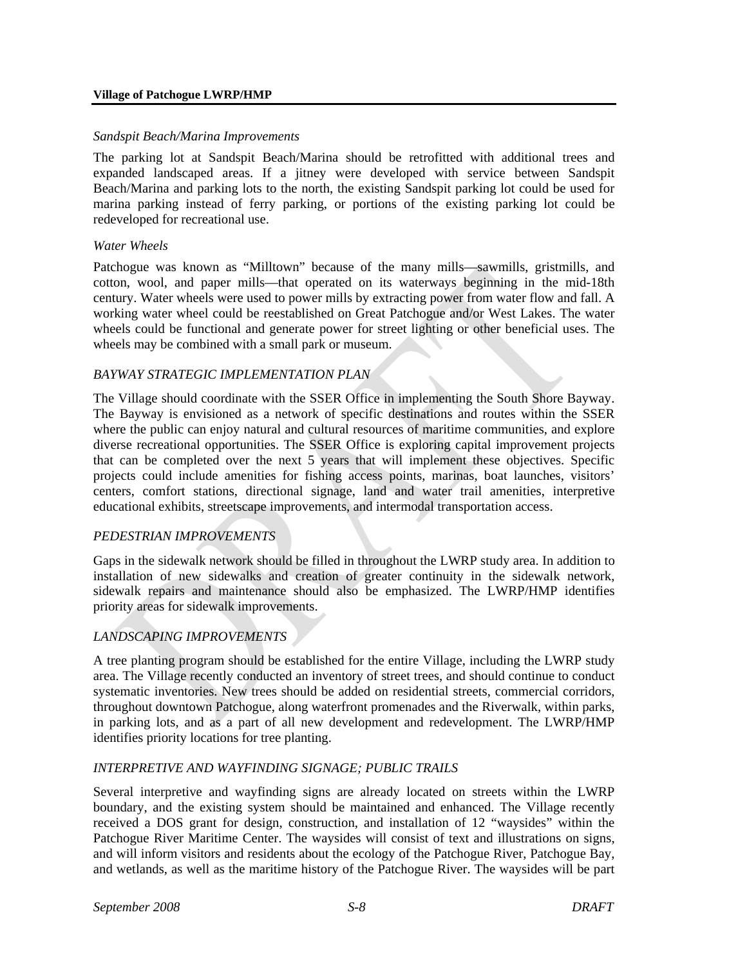#### **Village of Patchogue LWRP/HMP**

#### *Sandspit Beach/Marina Improvements*

The parking lot at Sandspit Beach/Marina should be retrofitted with additional trees and expanded landscaped areas. If a jitney were developed with service between Sandspit Beach/Marina and parking lots to the north, the existing Sandspit parking lot could be used for marina parking instead of ferry parking, or portions of the existing parking lot could be redeveloped for recreational use.

#### *Water Wheels*

Patchogue was known as "Milltown" because of the many mills—sawmills, gristmills, and cotton, wool, and paper mills—that operated on its waterways beginning in the mid-18th century. Water wheels were used to power mills by extracting power from water flow and fall. A working water wheel could be reestablished on Great Patchogue and/or West Lakes. The water wheels could be functional and generate power for street lighting or other beneficial uses. The wheels may be combined with a small park or museum.

#### *BAYWAY STRATEGIC IMPLEMENTATION PLAN*

The Village should coordinate with the SSER Office in implementing the South Shore Bayway. The Bayway is envisioned as a network of specific destinations and routes within the SSER where the public can enjoy natural and cultural resources of maritime communities, and explore diverse recreational opportunities. The SSER Office is exploring capital improvement projects that can be completed over the next 5 years that will implement these objectives. Specific projects could include amenities for fishing access points, marinas, boat launches, visitors' centers, comfort stations, directional signage, land and water trail amenities, interpretive educational exhibits, streetscape improvements, and intermodal transportation access.

#### *PEDESTRIAN IMPROVEMENTS*

Gaps in the sidewalk network should be filled in throughout the LWRP study area. In addition to installation of new sidewalks and creation of greater continuity in the sidewalk network, sidewalk repairs and maintenance should also be emphasized. The LWRP/HMP identifies priority areas for sidewalk improvements.

#### *LANDSCAPING IMPROVEMENTS*

A tree planting program should be established for the entire Village, including the LWRP study area. The Village recently conducted an inventory of street trees, and should continue to conduct systematic inventories. New trees should be added on residential streets, commercial corridors, throughout downtown Patchogue, along waterfront promenades and the Riverwalk, within parks, in parking lots, and as a part of all new development and redevelopment. The LWRP/HMP identifies priority locations for tree planting.

#### *INTERPRETIVE AND WAYFINDING SIGNAGE; PUBLIC TRAILS*

Several interpretive and wayfinding signs are already located on streets within the LWRP boundary, and the existing system should be maintained and enhanced. The Village recently received a DOS grant for design, construction, and installation of 12 "waysides" within the Patchogue River Maritime Center. The waysides will consist of text and illustrations on signs, and will inform visitors and residents about the ecology of the Patchogue River, Patchogue Bay, and wetlands, as well as the maritime history of the Patchogue River. The waysides will be part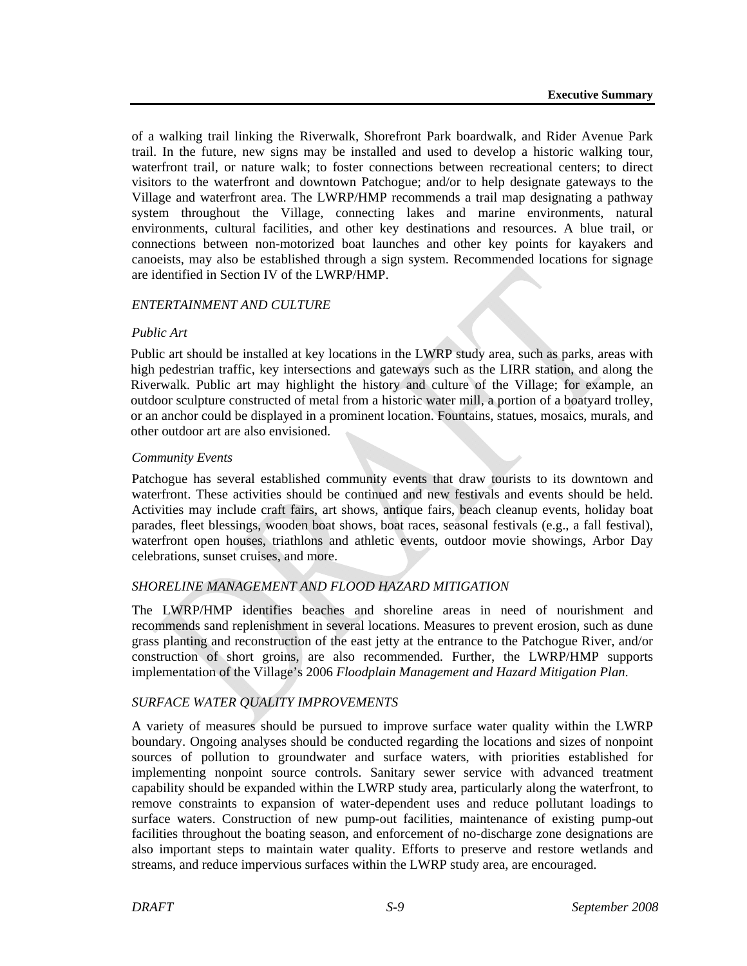of a walking trail linking the Riverwalk, Shorefront Park boardwalk, and Rider Avenue Park trail. In the future, new signs may be installed and used to develop a historic walking tour, waterfront trail, or nature walk; to foster connections between recreational centers; to direct visitors to the waterfront and downtown Patchogue; and/or to help designate gateways to the Village and waterfront area. The LWRP/HMP recommends a trail map designating a pathway system throughout the Village, connecting lakes and marine environments, natural environments, cultural facilities, and other key destinations and resources. A blue trail, or connections between non-motorized boat launches and other key points for kayakers and canoeists, may also be established through a sign system. Recommended locations for signage are identified in Section IV of the LWRP/HMP.

## *ENTERTAINMENT AND CULTURE*

### *Public Art*

Public art should be installed at key locations in the LWRP study area, such as parks, areas with high pedestrian traffic, key intersections and gateways such as the LIRR station, and along the Riverwalk. Public art may highlight the history and culture of the Village; for example, an outdoor sculpture constructed of metal from a historic water mill, a portion of a boatyard trolley, or an anchor could be displayed in a prominent location. Fountains, statues, mosaics, murals, and other outdoor art are also envisioned.

#### *Community Events*

Patchogue has several established community events that draw tourists to its downtown and waterfront. These activities should be continued and new festivals and events should be held. Activities may include craft fairs, art shows, antique fairs, beach cleanup events, holiday boat parades, fleet blessings, wooden boat shows, boat races, seasonal festivals (e.g., a fall festival), waterfront open houses, triathlons and athletic events, outdoor movie showings, Arbor Day celebrations, sunset cruises, and more.

## *SHORELINE MANAGEMENT AND FLOOD HAZARD MITIGATION*

The LWRP/HMP identifies beaches and shoreline areas in need of nourishment and recommends sand replenishment in several locations. Measures to prevent erosion, such as dune grass planting and reconstruction of the east jetty at the entrance to the Patchogue River, and/or construction of short groins, are also recommended. Further, the LWRP/HMP supports implementation of the Village's 2006 *Floodplain Management and Hazard Mitigation Plan*.

## *SURFACE WATER QUALITY IMPROVEMENTS*

A variety of measures should be pursued to improve surface water quality within the LWRP boundary. Ongoing analyses should be conducted regarding the locations and sizes of nonpoint sources of pollution to groundwater and surface waters, with priorities established for implementing nonpoint source controls. Sanitary sewer service with advanced treatment capability should be expanded within the LWRP study area, particularly along the waterfront, to remove constraints to expansion of water-dependent uses and reduce pollutant loadings to surface waters. Construction of new pump-out facilities, maintenance of existing pump-out facilities throughout the boating season, and enforcement of no-discharge zone designations are also important steps to maintain water quality. Efforts to preserve and restore wetlands and streams, and reduce impervious surfaces within the LWRP study area, are encouraged.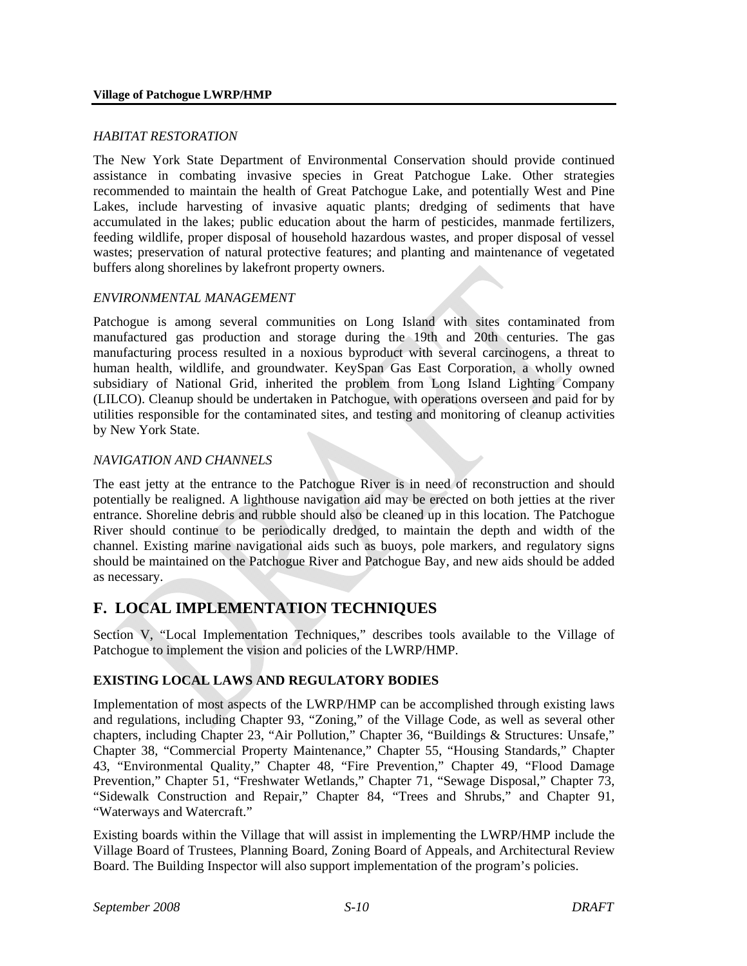## *HABITAT RESTORATION*

The New York State Department of Environmental Conservation should provide continued assistance in combating invasive species in Great Patchogue Lake. Other strategies recommended to maintain the health of Great Patchogue Lake, and potentially West and Pine Lakes, include harvesting of invasive aquatic plants; dredging of sediments that have accumulated in the lakes; public education about the harm of pesticides, manmade fertilizers, feeding wildlife, proper disposal of household hazardous wastes, and proper disposal of vessel wastes; preservation of natural protective features; and planting and maintenance of vegetated buffers along shorelines by lakefront property owners.

## *ENVIRONMENTAL MANAGEMENT*

Patchogue is among several communities on Long Island with sites contaminated from manufactured gas production and storage during the 19th and 20th centuries. The gas manufacturing process resulted in a noxious byproduct with several carcinogens, a threat to human health, wildlife, and groundwater. KeySpan Gas East Corporation, a wholly owned subsidiary of National Grid, inherited the problem from Long Island Lighting Company (LILCO). Cleanup should be undertaken in Patchogue, with operations overseen and paid for by utilities responsible for the contaminated sites, and testing and monitoring of cleanup activities by New York State.

### *NAVIGATION AND CHANNELS*

The east jetty at the entrance to the Patchogue River is in need of reconstruction and should potentially be realigned. A lighthouse navigation aid may be erected on both jetties at the river entrance. Shoreline debris and rubble should also be cleaned up in this location. The Patchogue River should continue to be periodically dredged, to maintain the depth and width of the channel. Existing marine navigational aids such as buoys, pole markers, and regulatory signs should be maintained on the Patchogue River and Patchogue Bay, and new aids should be added as necessary.

## **F. LOCAL IMPLEMENTATION TECHNIQUES**

Section V, "Local Implementation Techniques," describes tools available to the Village of Patchogue to implement the vision and policies of the LWRP/HMP.

## **EXISTING LOCAL LAWS AND REGULATORY BODIES**

Implementation of most aspects of the LWRP/HMP can be accomplished through existing laws and regulations, including Chapter 93, "Zoning," of the Village Code, as well as several other chapters, including Chapter 23, "Air Pollution," Chapter 36, "Buildings & Structures: Unsafe," Chapter 38, "Commercial Property Maintenance," Chapter 55, "Housing Standards," Chapter 43, "Environmental Quality," Chapter 48, "Fire Prevention," Chapter 49, "Flood Damage Prevention," Chapter 51, "Freshwater Wetlands," Chapter 71, "Sewage Disposal," Chapter 73, "Sidewalk Construction and Repair," Chapter 84, "Trees and Shrubs," and Chapter 91, "Waterways and Watercraft."

Existing boards within the Village that will assist in implementing the LWRP/HMP include the Village Board of Trustees, Planning Board, Zoning Board of Appeals, and Architectural Review Board. The Building Inspector will also support implementation of the program's policies.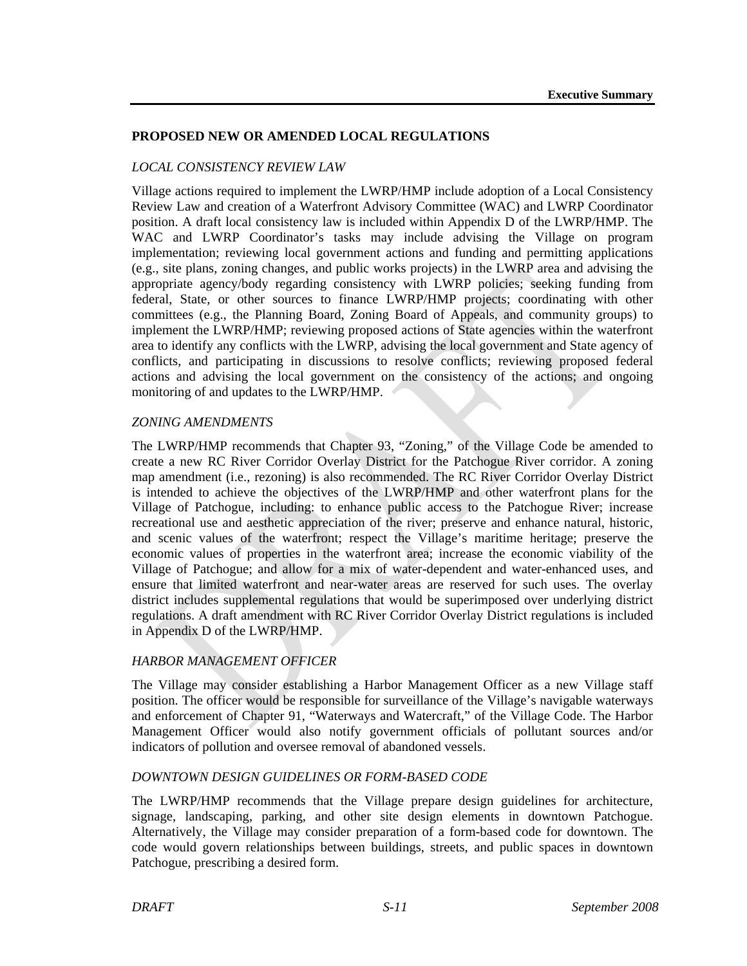## **PROPOSED NEW OR AMENDED LOCAL REGULATIONS**

## *LOCAL CONSISTENCY REVIEW LAW*

Village actions required to implement the LWRP/HMP include adoption of a Local Consistency Review Law and creation of a Waterfront Advisory Committee (WAC) and LWRP Coordinator position. A draft local consistency law is included within Appendix D of the LWRP/HMP. The WAC and LWRP Coordinator's tasks may include advising the Village on program implementation; reviewing local government actions and funding and permitting applications (e.g., site plans, zoning changes, and public works projects) in the LWRP area and advising the appropriate agency/body regarding consistency with LWRP policies; seeking funding from federal, State, or other sources to finance LWRP/HMP projects; coordinating with other committees (e.g., the Planning Board, Zoning Board of Appeals, and community groups) to implement the LWRP/HMP; reviewing proposed actions of State agencies within the waterfront area to identify any conflicts with the LWRP, advising the local government and State agency of conflicts, and participating in discussions to resolve conflicts; reviewing proposed federal actions and advising the local government on the consistency of the actions; and ongoing monitoring of and updates to the LWRP/HMP.

### *ZONING AMENDMENTS*

The LWRP/HMP recommends that Chapter 93, "Zoning," of the Village Code be amended to create a new RC River Corridor Overlay District for the Patchogue River corridor. A zoning map amendment (i.e., rezoning) is also recommended. The RC River Corridor Overlay District is intended to achieve the objectives of the LWRP/HMP and other waterfront plans for the Village of Patchogue, including: to enhance public access to the Patchogue River; increase recreational use and aesthetic appreciation of the river; preserve and enhance natural, historic, and scenic values of the waterfront; respect the Village's maritime heritage; preserve the economic values of properties in the waterfront area; increase the economic viability of the Village of Patchogue; and allow for a mix of water-dependent and water-enhanced uses, and ensure that limited waterfront and near-water areas are reserved for such uses. The overlay district includes supplemental regulations that would be superimposed over underlying district regulations. A draft amendment with RC River Corridor Overlay District regulations is included in Appendix D of the LWRP/HMP.

## *HARBOR MANAGEMENT OFFICER*

The Village may consider establishing a Harbor Management Officer as a new Village staff position. The officer would be responsible for surveillance of the Village's navigable waterways and enforcement of Chapter 91, "Waterways and Watercraft," of the Village Code. The Harbor Management Officer would also notify government officials of pollutant sources and/or indicators of pollution and oversee removal of abandoned vessels.

## *DOWNTOWN DESIGN GUIDELINES OR FORM-BASED CODE*

The LWRP/HMP recommends that the Village prepare design guidelines for architecture, signage, landscaping, parking, and other site design elements in downtown Patchogue. Alternatively, the Village may consider preparation of a form-based code for downtown. The code would govern relationships between buildings, streets, and public spaces in downtown Patchogue, prescribing a desired form.